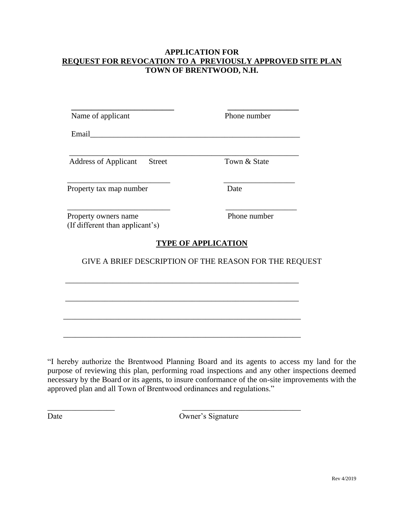## **APPLICATION FOR REQUEST FOR REVOCATION TO A PREVIOUSLY APPROVED SITE PLAN TOWN OF BRENTWOOD, N.H.**

| Name of applicant                                       | Phone number               |  |
|---------------------------------------------------------|----------------------------|--|
| Email____                                               |                            |  |
| <b>Address of Applicant</b><br><b>Street</b>            | Town & State               |  |
| Property tax map number                                 | Date                       |  |
| Property owners name<br>(If different than applicant's) | Phone number               |  |
|                                                         | <b>TYPE OF APPLICATION</b> |  |
| GIVE A BRIEF DESCRIPTION OF THE REASON FOR THE REQUEST  |                            |  |
|                                                         |                            |  |
|                                                         |                            |  |
|                                                         |                            |  |
|                                                         |                            |  |

"I hereby authorize the Brentwood Planning Board and its agents to access my land for the purpose of reviewing this plan, performing road inspections and any other inspections deemed necessary by the Board or its agents, to insure conformance of the on-site improvements with the approved plan and all Town of Brentwood ordinances and regulations."

\_\_\_\_\_\_\_\_\_\_\_\_\_\_\_\_\_ \_\_\_\_\_\_\_\_\_\_\_\_\_\_\_\_\_\_\_\_\_\_\_\_\_\_\_\_\_\_

Date Owner's Signature